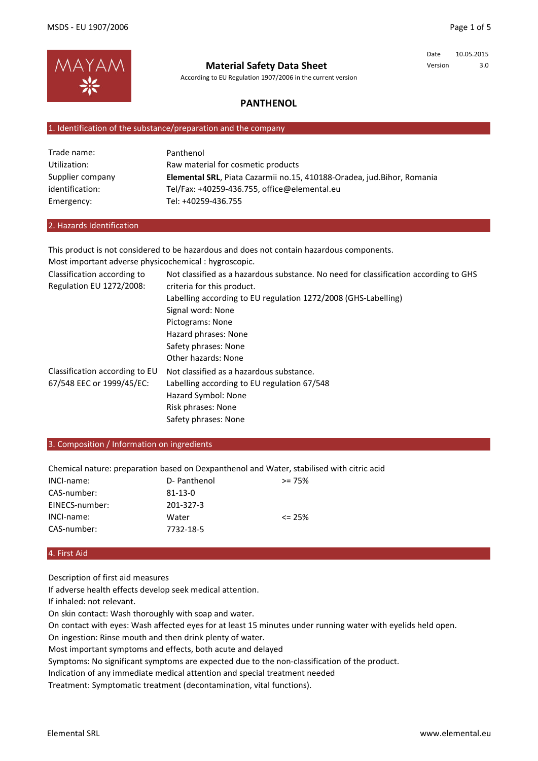

According to EU Regulation 1907/2006 in the current version

### Date 10.05.2015 Version 3.0

## **PANTHENOL**

#### 1. Identification of the substance/preparation and the company

| Trade name:      | Panthenol                                                              |
|------------------|------------------------------------------------------------------------|
| Utilization:     | Raw material for cosmetic products                                     |
| Supplier company | Elemental SRL, Piata Cazarmii no.15, 410188-Oradea, jud.Bihor, Romania |
| identification:  | Tel/Fax: +40259-436.755. office@elemental.eu                           |
| Emergency:       | Tel: +40259-436.755                                                    |

#### 2. Hazards Identification

This product is not considered to be hazardous and does not contain hazardous components.

| Most important adverse physicochemical : hygroscopic. |                                                                                      |
|-------------------------------------------------------|--------------------------------------------------------------------------------------|
| Classification according to                           | Not classified as a hazardous substance. No need for classification according to GHS |
| Regulation EU 1272/2008:                              | criteria for this product.                                                           |
|                                                       | Labelling according to EU regulation 1272/2008 (GHS-Labelling)                       |
|                                                       | Signal word: None                                                                    |
|                                                       | Pictograms: None                                                                     |
|                                                       | Hazard phrases: None                                                                 |
|                                                       | Safety phrases: None                                                                 |
|                                                       | Other hazards: None                                                                  |
| Classification according to EU                        | Not classified as a hazardous substance.                                             |
| 67/548 EEC or 1999/45/EC:                             | Labelling according to EU regulation 67/548                                          |
|                                                       | Hazard Symbol: None                                                                  |
|                                                       | Risk phrases: None                                                                   |
|                                                       | Safety phrases: None                                                                 |

3. Composition / Information on ingredients

Chemical nature: preparation based on Dexpanthenol and Water, stabilised with citric acid

| INCI-name:     | D- Panthenol  | $>= 75%$   |
|----------------|---------------|------------|
| CAS-number:    | $81 - 13 - 0$ |            |
| EINECS-number: | 201-327-3     |            |
| INCI-name:     | Water         | $\leq$ 25% |
| CAS-number:    | 7732-18-5     |            |

#### 4. First Aid

Description of first aid measures

If adverse health effects develop seek medical attention.

If inhaled: not relevant.

On skin contact: Wash thoroughly with soap and water.

On contact with eyes: Wash affected eyes for at least 15 minutes under running water with eyelids held open.

On ingestion: Rinse mouth and then drink plenty of water.

Most important symptoms and effects, both acute and delayed

Symptoms: No significant symptoms are expected due to the non-classification of the product.

Indication of any immediate medical attention and special treatment needed

Treatment: Symptomatic treatment (decontamination, vital functions).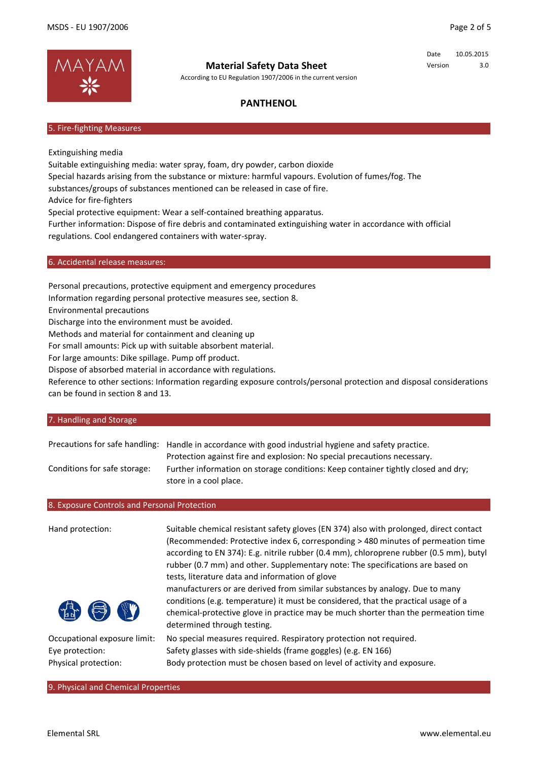

According to EU Regulation 1907/2006 in the current version

Date 10.05.2015 Version 3.0

## **PANTHENOL**

#### 5. Fire-fighting Measures

Extinguishing media

Suitable extinguishing media: water spray, foam, dry powder, carbon dioxide Special hazards arising from the substance or mixture: harmful vapours. Evolution of fumes/fog. The substances/groups of substances mentioned can be released in case of fire. Advice for fire-fighters Special protective equipment: Wear a self-contained breathing apparatus. Further information: Dispose of fire debris and contaminated extinguishing water in accordance with official regulations. Cool endangered containers with water-spray.

6. Accidental release measures:

Personal precautions, protective equipment and emergency procedures

Information regarding personal protective measures see, section 8.

Environmental precautions

Discharge into the environment must be avoided.

Methods and material for containment and cleaning up

For small amounts: Pick up with suitable absorbent material.

For large amounts: Dike spillage. Pump off product.

Dispose of absorbed material in accordance with regulations.

Reference to other sections: Information regarding exposure controls/personal protection and disposal considerations can be found in section 8 and 13.

#### 7. Handling and Storage

Precautions for safe handling: Handle in accordance with good industrial hygiene and safety practice. Conditions for safe storage: Protection against fire and explosion: No special precautions necessary. Further information on storage conditions: Keep container tightly closed and dry; store in a cool place.

#### 8. Exposure Controls and Personal Protection

| Hand protection:             | Suitable chemical resistant safety gloves (EN 374) also with prolonged, direct contact<br>(Recommended: Protective index 6, corresponding > 480 minutes of permeation time<br>according to EN 374): E.g. nitrile rubber (0.4 mm), chloroprene rubber (0.5 mm), butyl<br>rubber (0.7 mm) and other. Supplementary note: The specifications are based on<br>tests, literature data and information of glove<br>manufacturers or are derived from similar substances by analogy. Due to many<br>conditions (e.g. temperature) it must be considered, that the practical usage of a<br>chemical-protective glove in practice may be much shorter than the permeation time<br>determined through testing. |
|------------------------------|------------------------------------------------------------------------------------------------------------------------------------------------------------------------------------------------------------------------------------------------------------------------------------------------------------------------------------------------------------------------------------------------------------------------------------------------------------------------------------------------------------------------------------------------------------------------------------------------------------------------------------------------------------------------------------------------------|
| Occupational exposure limit: | No special measures required. Respiratory protection not required.                                                                                                                                                                                                                                                                                                                                                                                                                                                                                                                                                                                                                                   |
| Eye protection:              | Safety glasses with side-shields (frame goggles) (e.g. EN 166)                                                                                                                                                                                                                                                                                                                                                                                                                                                                                                                                                                                                                                       |
| Physical protection:         | Body protection must be chosen based on level of activity and exposure.                                                                                                                                                                                                                                                                                                                                                                                                                                                                                                                                                                                                                              |

Body protection must be chosen based on level of activity and exposure.

9. Physical and Chemical Properties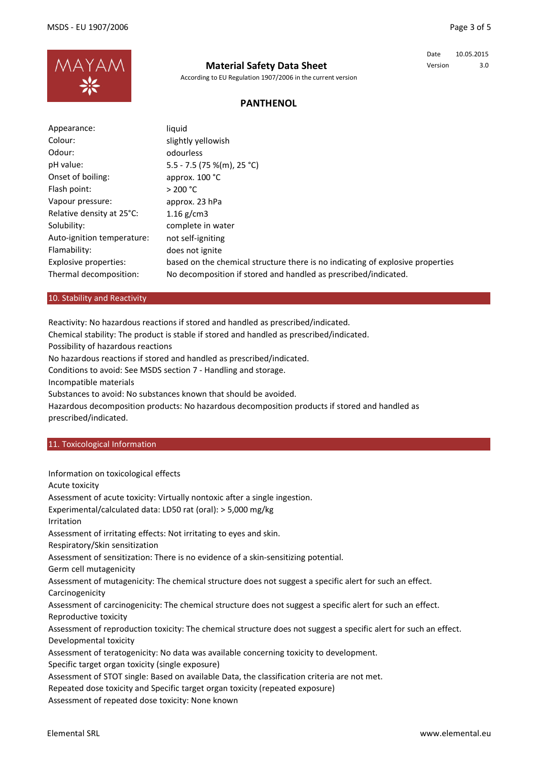

According to EU Regulation 1907/2006 in the current version

## Date 10.05.2015 Version 3.0

## **PANTHENOL**

| Appearance:                | liquid                                                                         |
|----------------------------|--------------------------------------------------------------------------------|
| Colour:                    | slightly yellowish                                                             |
| Odour:                     | odourless                                                                      |
| pH value:                  | 5.5 - 7.5 (75 %(m), 25 °C)                                                     |
| Onset of boiling:          | approx. $100 °C$                                                               |
| Flash point:               | > 200 °C                                                                       |
| Vapour pressure:           | approx. 23 hPa                                                                 |
| Relative density at 25°C:  | 1.16 $g/cm3$                                                                   |
| Solubility:                | complete in water                                                              |
| Auto-ignition temperature: | not self-igniting                                                              |
| Flamability:               | does not ignite                                                                |
| Explosive properties:      | based on the chemical structure there is no indicating of explosive properties |
| Thermal decomposition:     | No decomposition if stored and handled as prescribed/indicated.                |

#### 10. Stability and Reactivity

Reactivity: No hazardous reactions if stored and handled as prescribed/indicated.

Chemical stability: The product is stable if stored and handled as prescribed/indicated.

Possibility of hazardous reactions

No hazardous reactions if stored and handled as prescribed/indicated.

Conditions to avoid: See MSDS section 7 - Handling and storage.

Incompatible materials

Substances to avoid: No substances known that should be avoided.

Hazardous decomposition products: No hazardous decomposition products if stored and handled as prescribed/indicated.

#### 11. Toxicological Information

Information on toxicological effects Acute toxicity Assessment of acute toxicity: Virtually nontoxic after a single ingestion. Experimental/calculated data: LD50 rat (oral): > 5,000 mg/kg Irritation Assessment of irritating effects: Not irritating to eyes and skin. Respiratory/Skin sensitization Assessment of sensitization: There is no evidence of a skin-sensitizing potential. Germ cell mutagenicity Assessment of mutagenicity: The chemical structure does not suggest a specific alert for such an effect. Carcinogenicity Assessment of carcinogenicity: The chemical structure does not suggest a specific alert for such an effect. Reproductive toxicity Assessment of reproduction toxicity: The chemical structure does not suggest a specific alert for such an effect. Developmental toxicity Assessment of teratogenicity: No data was available concerning toxicity to development. Specific target organ toxicity (single exposure)

Assessment of STOT single: Based on available Data, the classification criteria are not met.

Repeated dose toxicity and Specific target organ toxicity (repeated exposure)

Assessment of repeated dose toxicity: None known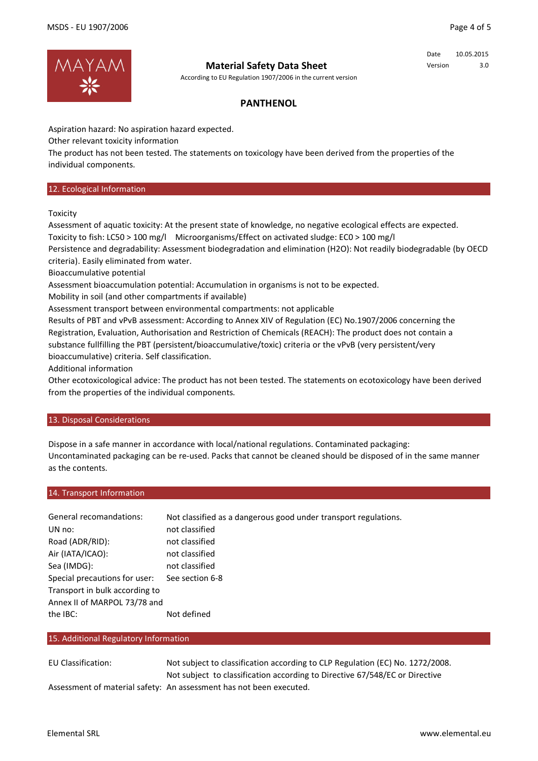

According to EU Regulation 1907/2006 in the current version

### Date 10.05.2015 Version 3.0

## **PANTHENOL**

Aspiration hazard: No aspiration hazard expected.

Other relevant toxicity information

The product has not been tested. The statements on toxicology have been derived from the properties of the individual components.

#### 12. Ecological Information

**Toxicity** 

Assessment of aquatic toxicity: At the present state of knowledge, no negative ecological effects are expected. Toxicity to fish: LC50 > 100 mg/l Microorganisms/Effect on activated sludge: EC0 > 100 mg/l

Persistence and degradability: Assessment biodegradation and elimination (H2O): Not readily biodegradable (by OECD criteria). Easily eliminated from water.

Bioaccumulative potential

Assessment bioaccumulation potential: Accumulation in organisms is not to be expected.

Mobility in soil (and other compartments if available)

Assessment transport between environmental compartments: not applicable

Results of PBT and vPvB assessment: According to Annex XIV of Regulation (EC) No.1907/2006 concerning the Registration, Evaluation, Authorisation and Restriction of Chemicals (REACH): The product does not contain a substance fullfilling the PBT (persistent/bioaccumulative/toxic) criteria or the vPvB (very persistent/very bioaccumulative) criteria. Self classification.

Additional information

Other ecotoxicological advice: The product has not been tested. The statements on ecotoxicology have been derived from the properties of the individual components.

### 13. Disposal Considerations

Dispose in a safe manner in accordance with local/national regulations. Contaminated packaging: Uncontaminated packaging can be re-used. Packs that cannot be cleaned should be disposed of in the same manner as the contents.

#### 14. Transport Information

| General recomandations:        | Not classified as a dangerous good under transport regulations. |
|--------------------------------|-----------------------------------------------------------------|
| UN no:                         | not classified                                                  |
| Road (ADR/RID):                | not classified                                                  |
| Air (IATA/ICAO):               | not classified                                                  |
| Sea (IMDG):                    | not classified                                                  |
| Special precautions for user:  | See section 6-8                                                 |
| Transport in bulk according to |                                                                 |
| Annex II of MARPOL 73/78 and   |                                                                 |
| the IBC:                       | Not defined                                                     |

#### 15. Additional Regulatory Information

EU Classification: Assessment of material safety: An assessment has not been executed. Not subject to classification according to Directive 67/548/EC or Directive Not subject to classification according to CLP Regulation (EC) No. 1272/2008.